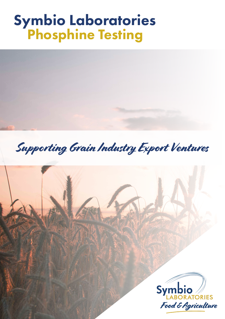## Symbio Laboratories Phosphine Testing



Supporting Grain Industry Export Ventures